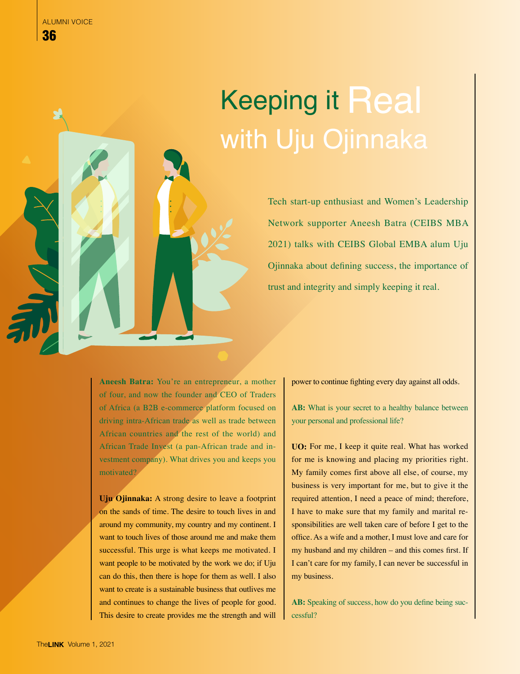## Keeping it Real with Uju Ojinnaka

Tech start-up enthusiast and Women's Leadership Network supporter Aneesh Batra (CEIBS MBA 2021) talks with CEIBS Global EMBA alum Uju Ojinnaka about defining success, the importance of trust and integrity and simply keeping it real.

**Aneesh Batra:** You're an entrepreneur, a mother of four, and now the founder and CEO of Traders of Africa (a B2B e-commerce platform focused on driving intra-African trade as well as trade between African countries and the rest of the world) and African Trade Invest (a pan-African trade and investment company). What drives you and keeps you motivated?

**Uju Ojinnaka:** A strong desire to leave a footprint on the sands of time. The desire to touch lives in and around my community, my country and my continent. I want to touch lives of those around me and make them successful. This urge is what keeps me motivated. I want people to be motivated by the work we do; if Uju can do this, then there is hope for them as well. I also want to create is a sustainable business that outlives me and continues to change the lives of people for good. This desire to create provides me the strength and will

power to continue fighting every day against all odds.

AB: What is your secret to a healthy balance between your personal and professional life?

**UO:** For me, I keep it quite real. What has worked for me is knowing and placing my priorities right. My family comes first above all else, of course, my business is very important for me, but to give it the required attention, I need a peace of mind; therefore, I have to make sure that my family and marital responsibilities are well taken care of before I get to the office. As a wife and a mother, I must love and care for my husband and my children – and this comes first. If I can't care for my family, I can never be successful in my business.

AB: Speaking of success, how do you define being successful?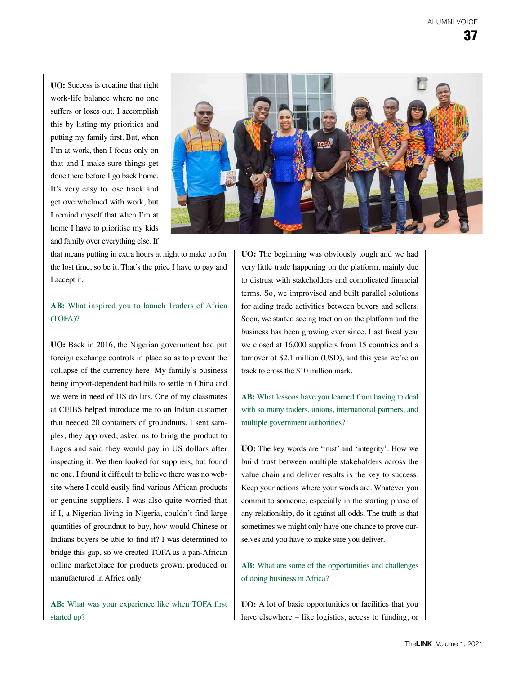**UO:** Success is creating that right work-life balance where no one suffers or loses out. I accomplish this by listing my priorities and putting my family first. But, when I'm at work, then I focus only on that and I make sure things get done there before I go back home. It's very easy to lose track and get overwhelmed with work, but I remind myself that when I'm at home I have to prioritise my kids and family over everything else. If



that means putting in extra hours at night to make up for the lost time, so be it. That's the price I have to pay and I accept it.

## **AB:** What inspired you to launch Traders of Africa (TOFA)?

**UO:** Back in 2016, the Nigerian government had put foreign exchange controls in place so as to prevent the collapse of the currency here. My family's business being import-dependent had bills to settle in China and we were in need of US dollars. One of my classmates at CEIBS helped introduce me to an Indian customer that needed 20 containers of groundnuts. I sent samples, they approved, asked us to bring the product to Lagos and said they would pay in US dollars after inspecting it. We then looked for suppliers, but found no one. I found it difficult to believe there was no website where I could easily find various African products or genuine suppliers. I was also quite worried that if I, a Nigerian living in Nigeria, couldn't find large quantities of groundnut to buy, how would Chinese or Indians buyers be able to find it? I was determined to bridge this gap, so we created TOFA as a pan-African online marketplace for products grown, produced or manufactured in Africa only.

**AB:** What was your experience like when TOFA first started up?

**UO:** The beginning was obviously tough and we had very little trade happening on the platform, mainly due to distrust with stakeholders and complicated financial terms. So, we improvised and built parallel solutions for aiding trade activities between buyers and sellers. Soon, we started seeing traction on the platform and the business has been growing ever since. Last fiscal year we closed at 16,000 suppliers from 15 countries and a turnover of \$2.1 million (USD), and this year we're on track to cross the \$10 million mark.

**AB:** What lessons have you learned from having to deal with so many traders, unions, international partners, and multiple government authorities?

**UO:** The key words are 'trust' and 'integrity'. How we build trust between multiple stakeholders across the value chain and deliver results is the key to success. Keep your actions where your words are. Whatever you commit to someone, especially in the starting phase of any relationship, do it against all odds. The truth is that sometimes we might only have one chance to prove ourselves and you have to make sure you deliver.

**AB:** What are some of the opportunities and challenges of doing business in Africa?

**UO:** A lot of basic opportunities or facilities that you have elsewhere – like logistics, access to funding, or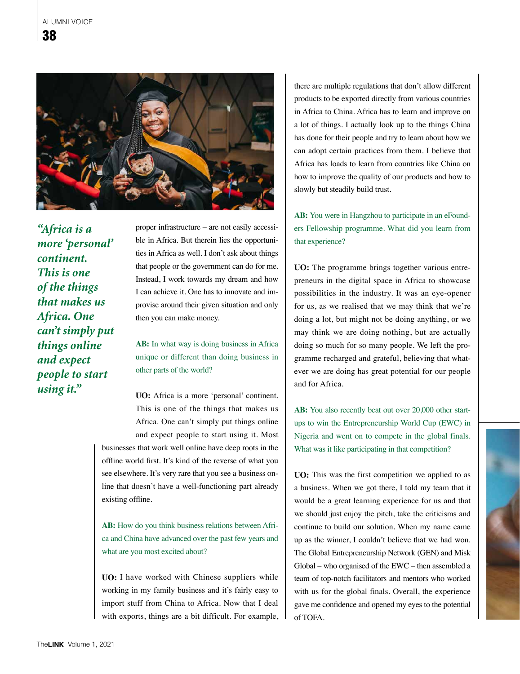

*"Africa is a more 'personal' continent. This is one of the things that makes us Africa. One can't simply put things online and expect people to start using it."*

proper infrastructure – are not easily accessible in Africa. But therein lies the opportunities in Africa as well. I don't ask about things that people or the government can do for me. Instead, I work towards my dream and how I can achieve it. One has to innovate and improvise around their given situation and only then you can make money.

**AB:** In what way is doing business in Africa unique or different than doing business in other parts of the world?

**UO:** Africa is a more 'personal' continent. This is one of the things that makes us Africa. One can't simply put things online and expect people to start using it. Most

businesses that work well online have deep roots in the offline world first. It's kind of the reverse of what you see elsewhere. It's very rare that you see a business online that doesn't have a well-functioning part already existing offline.

AB: How do you think business relations between Africa and China have advanced over the past few years and what are you most excited about?

**UO:** I have worked with Chinese suppliers while working in my family business and it's fairly easy to import stuff from China to Africa. Now that I deal with exports, things are a bit difficult. For example,

there are multiple regulations that don't allow different products to be exported directly from various countries in Africa to China. Africa has to learn and improve on a lot of things. I actually look up to the things China has done for their people and try to learn about how we can adopt certain practices from them. I believe that Africa has loads to learn from countries like China on how to improve the quality of our products and how to slowly but steadily build trust.

**AB:** You were in Hangzhou to participate in an eFounders Fellowship programme. What did you learn from that experience?

**UO:** The programme brings together various entrepreneurs in the digital space in Africa to showcase possibilities in the industry. It was an eye-opener for us, as we realised that we may think that we're doing a lot, but might not be doing anything, or we may think we are doing nothing, but are actually doing so much for so many people. We left the programme recharged and grateful, believing that whatever we are doing has great potential for our people and for Africa.

**AB:** You also recently beat out over 20,000 other startups to win the Entrepreneurship World Cup (EWC) in Nigeria and went on to compete in the global finals. What was it like participating in that competition?

**UO:** This was the first competition we applied to as a business. When we got there, I told my team that it would be a great learning experience for us and that we should just enjoy the pitch, take the criticisms and continue to build our solution. When my name came up as the winner, I couldn't believe that we had won. The Global Entrepreneurship Network (GEN) and Misk Global – who organised of the EWC – then assembled a team of top-notch facilitators and mentors who worked with us for the global finals. Overall, the experience gave me confidence and opened my eyes to the potential of TOFA.